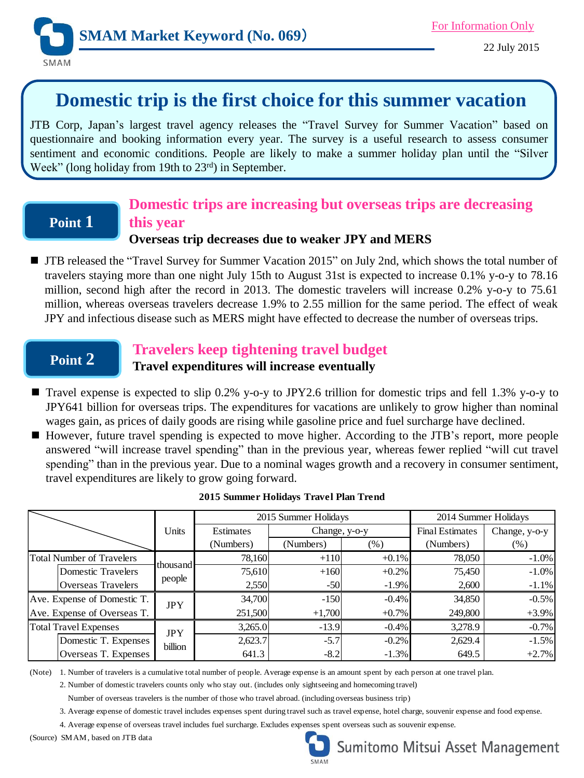

# **Domestic trip is the first choice for this summer vacation**

JTB Corp, Japan's largest travel agency releases the "Travel Survey for Summer Vacation" based on questionnaire and booking information every year. The survey is a useful research to assess consumer sentiment and economic conditions. People are likely to make a summer holiday plan until the "Silver Week" (long holiday from 19th to 23<sup>rd</sup>) in September.

## **Point 1**

### **Domestic trips are increasing but overseas trips are decreasing this year**

### **Overseas trip decreases due to weaker JPY and MERS**

TIB released the "Travel Survey for Summer Vacation 2015" on July 2nd, which shows the total number of travelers staying more than one night July 15th to August 31st is expected to increase 0.1% y-o-y to 78.16 million, second high after the record in 2013. The domestic travelers will increase 0.2% y-o-y to 75.61 million, whereas overseas travelers decrease 1.9% to 2.55 million for the same period. The effect of weak JPY and infectious disease such as MERS might have effected to decrease the number of overseas trips.

## **Point 2**

### **Travelers keep tightening travel budget**

### **Travel expenditures will increase eventually**

- Travel expense is expected to slip 0.2% y-o-y to JPY2.6 trillion for domestic trips and fell 1.3% y-o-y to JPY641 billion for overseas trips. The expenditures for vacations are unlikely to grow higher than nominal wages gain, as prices of daily goods are rising while gasoline price and fuel surcharge have declined.
- However, future travel spending is expected to move higher. According to the JTB's report, more people answered "will increase travel spending" than in the previous year, whereas fewer replied "will cut travel spending" than in the previous year. Due to a nominal wages growth and a recovery in consumer sentiment, travel expenditures are likely to grow going forward.

|                                  | Units                 | 2015 Summer Holidays |               |         | 2014 Summer Holidays   |               |
|----------------------------------|-----------------------|----------------------|---------------|---------|------------------------|---------------|
|                                  |                       | Estimates            | Change, y-o-y |         | <b>Final Estimates</b> | Change, y-o-y |
|                                  |                       | (Numbers)            | (Numbers)     | $(\%)$  | (Numbers)              | (%)           |
| <b>Total Number of Travelers</b> | thousand<br>people    | 78,160               | $+110$        | $+0.1%$ | 78,050                 | $-1.0%$       |
| <b>Domestic Travelers</b>        |                       | 75,610               | $+160$        | $+0.2%$ | 75,450                 | $-1.0%$       |
| <b>Overseas Travelers</b>        |                       | 2,550                | $-50$         | $-1.9%$ | 2,600                  | $-1.1%$       |
| Ave. Expense of Domestic T.      | <b>JPY</b>            | 34,700               | $-150$        | $-0.4%$ | 34,850                 | $-0.5%$       |
| Ave. Expense of Overseas T.      |                       | 251,500              | $+1,700$      | $+0.7%$ | 249,800                | $+3.9%$       |
| <b>Total Travel Expenses</b>     | <b>JPY</b><br>billion | 3,265.0              | $-13.9$       | $-0.4%$ | 3,278.9                | $-0.7%$       |
| Domestic T. Expenses             |                       | 2,623.7              | $-5.7$        | $-0.2%$ | 2,629.4                | $-1.5%$       |
| Overseas T. Expenses             |                       | 641.3                | $-8.2$        | $-1.3%$ | 649.5                  | $+2.7%$       |

#### **2015 Summer Holidays Travel Plan Trend**

(Note) 1. Number of travelers is a cumulative total number of people. Average expense is an amount spent by each person at one travel plan.

2. Number of domestic travelers counts only who stay out. (includes only sightseeing and homecoming travel)

Number of overseas travelers is the number of those who travel abroad. (including overseas business trip)

3. Average expense of domestic travel includes expenses spent during travel such as travel expense, hotel charge, souvenir expense and food expense.

4. Average expense of overseas travel includes fuel surcharge. Excludes expenses spent overseas such as souvenir expense.

(Source) SMAM, based on JTB data